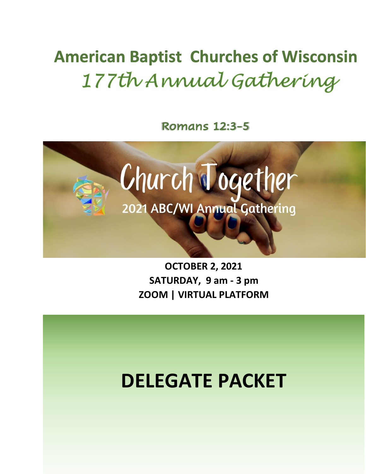# **American Baptist Churches of Wisconsin** 177th Annual Gathering

**Romans 12:3-5** 



**OCTOBER 2, 2021 SATURDAY, 9 am - 3 pm ZOOM | VIRTUAL PLATFORM**

# **DELEGATE PACKET**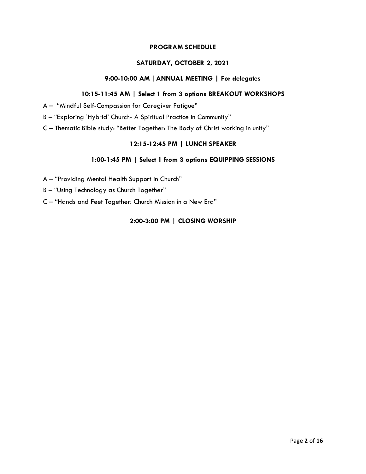#### **PROGRAM SCHEDULE**

#### **SATURDAY, OCTOBER 2, 2021**

#### **9:00-10:00 AM |ANNUAL MEETING | For delegates**

#### **10:15-11:45 AM | Select 1 from 3 options BREAKOUT WORKSHOPS**

- A "Mindful Self-Compassion for Caregiver Fatigue"
- B "Exploring 'Hybrid' Church- A Spiritual Practice in Community"
- C Thematic Bible study: "Better Together: The Body of Christ working in unity"

#### **12:15-12:45 PM | LUNCH SPEAKER**

#### **1:00-1:45 PM | Select 1 from 3 options EQUIPPING SESSIONS**

- A "Providing Mental Health Support in Church"
- B "Using Technology as Church Together"
- C "Hands and Feet Together: Church Mission in a New Era"

#### **2:00-3:00 PM | CLOSING WORSHIP**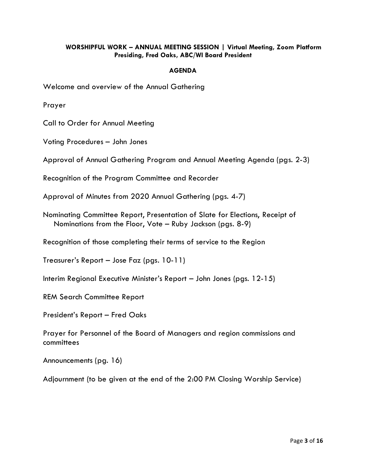#### **WORSHIPFUL WORK – ANNUAL MEETING SESSION | Virtual Meeting, Zoom Platform Presiding, Fred Oaks, ABC/WI Board President**

#### **AGENDA**

Welcome and overview of the Annual Gathering

Prayer

Call to Order for Annual Meeting

Voting Procedures – John Jones

Approval of Annual Gathering Program and Annual Meeting Agenda (pgs. 2-3)

Recognition of the Program Committee and Recorder

Approval of Minutes from 2020 Annual Gathering (pgs. 4-7)

Nominating Committee Report, Presentation of Slate for Elections, Receipt of Nominations from the Floor, Vote – Ruby Jackson (pgs. 8-9)

Recognition of those completing their terms of service to the Region

Treasurer's Report – Jose Faz (pgs. 10-11)

Interim Regional Executive Minister's Report – John Jones (pgs. 12-15)

REM Search Committee Report

President's Report – Fred Oaks

Prayer for Personnel of the Board of Managers and region commissions and committees

Announcements (pg. 16)

Adjournment (to be given at the end of the 2:00 PM Closing Worship Service)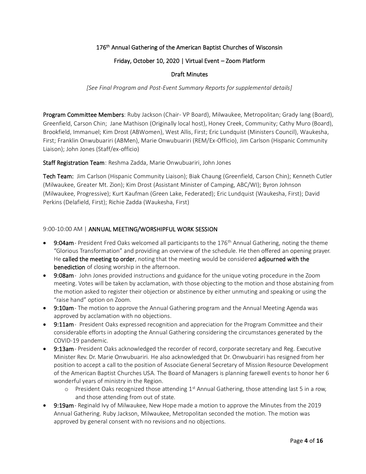#### 176<sup>th</sup> Annual Gathering of the American Baptist Churches of Wisconsin

#### Friday, October 10, 2020 | Virtual Event – Zoom Platform

#### Draft Minutes

*[See Final Program and Post-Event Summary Reports for supplemental details]*

Program Committee Members: Ruby Jackson (Chair- VP Board), Milwaukee, Metropolitan; Grady Iang (Board), Greenfield, Carson Chin; Jane Mathison (Originally local host), Honey Creek, Community; Cathy Muro (Board), Brookfield, Immanuel; Kim Drost (ABWomen), West Allis, First; Eric Lundquist (Ministers Council), Waukesha, First; Franklin Onwubuariri (ABMen), Marie Onwubuariri (REM/Ex-Officio), Jim Carlson (Hispanic Community Liaison); John Jones (Staff/ex-officio)

Staff Registration Team: Reshma Zadda, Marie Onwubuariri, John Jones

Tech Team: Jim Carlson (Hispanic Community Liaison); Biak Chaung (Greenfield, Carson Chin); Kenneth Cutler (Milwaukee, Greater Mt. Zion); Kim Drost (Assistant Minister of Camping, ABC/WI); Byron Johnson (Milwaukee, Progressive); Kurt Kaufman (Green Lake, Federated); Eric Lundquist (Waukesha, First); David Perkins (Delafield, First); Richie Zadda (Waukesha, First)

#### 9:00-10:00 AM | ANNUAL MEETING/WORSHIPFUL WORK SESSION

- 9:04am President Fred Oaks welcomed all participants to the 176<sup>th</sup> Annual Gathering, noting the theme "Glorious Transformation" and providing an overview of the schedule. He then offered an opening prayer. He called the meeting to order, noting that the meeting would be considered adjourned with the benediction of closing worship in the afternoon.
- 9:08am- John Jones provided instructions and guidance for the unique voting procedure in the Zoom meeting. Votes will be taken by acclamation, with those objecting to the motion and those abstaining from the motion asked to register their objection or abstinence by either unmuting and speaking or using the "raise hand" option on Zoom.
- 9:10am- The motion to approve the Annual Gathering program and the Annual Meeting Agenda was approved by acclamation with no objections.
- 9:11am- President Oaks expressed recognition and appreciation for the Program Committee and their considerable efforts in adopting the Annual Gathering considering the circumstances generated by the COVID-19 pandemic.
- 9:13am- President Oaks acknowledged the recorder of record, corporate secretary and Reg. Executive Minister Rev. Dr. Marie Onwubuariri. He also acknowledged that Dr. Onwubuariri has resigned from her position to accept a call to the position of Associate General Secretary of Mission Resource Development of the American Baptist Churches USA. The Board of Managers is planning farewell events to honor her 6 wonderful years of ministry in the Region.
	- $\circ$  President Oaks recognized those attending 1<sup>st</sup> Annual Gathering, those attending last 5 in a row, and those attending from out of state.
- 9:19am- Reginald Ivy of Milwaukee, New Hope made a motion to approve the Minutes from the 2019 Annual Gathering. Ruby Jackson, Milwaukee, Metropolitan seconded the motion. The motion was approved by general consent with no revisions and no objections.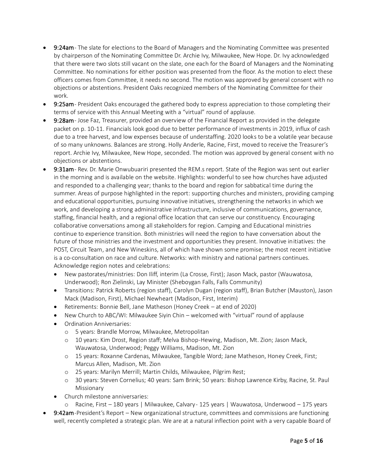- 9:24am- The slate for elections to the Board of Managers and the Nominating Committee was presented by chairperson of the Nominating Committee Dr. Archie Ivy, Milwaukee, New Hope. Dr. Ivy acknowledged that there were two slots still vacant on the slate, one each for the Board of Managers and the Nominating Committee. No nominations for either position was presented from the floor. As the motion to elect these officers comes from Committee, it needs no second. The motion was approved by general consent with no objections or abstentions. President Oaks recognized members of the Nominating Committee for their work.
- 9:25am President Oaks encouraged the gathered body to express appreciation to those completing their terms of service with this Annual Meeting with a "virtual" round of applause.
- 9:28am- Jose Faz, Treasurer, provided an overview of the Financial Report as provided in the delegate packet on p. 10-11. Financials look good due to better performance of investments in 2019, influx of cash due to a tree harvest, and low expenses because of understaffing. 2020 looks to be a volatile year because of so many unknowns. Balances are strong. Holly Anderle, Racine, First, moved to receive the Treasurer's report. Archie Ivy, Milwaukee, New Hope, seconded. The motion was approved by general consent with no objections or abstentions.
- 9:31am- Rev. Dr. Marie Onwubuariri presented the REM.s report. State of the Region was sent out earlier in the morning and is available on the website. Highlights: wonderful to see how churches have adjusted and responded to a challenging year; thanks to the board and region for sabbatical time during the summer. Areas of purpose highlighted in the report: supporting churches and ministers, providing camping and educational opportunities, pursuing innovative initiatives, strengthening the networks in which we work, and developing a strong administrative infrastructure, inclusive of communications, governance, staffing, financial health, and a regional office location that can serve our constituency. Encouraging collaborative conversations among all stakeholders for region. Camping and Educational ministries continue to experience transition. Both ministries will need the region to have conversation about the future of those ministries and the investment and opportunities they present. Innovative initiatives: the POST, Circuit Team, and New Wineskins, all of which have shown some promise; the most recent initiative is a co-consultation on race and culture. Networks: with ministry and national partners continues. Acknowledge region notes and celebrations:
	- New pastorates/ministries: Don Iliff, interim (La Crosse, First); Jason Mack, pastor (Wauwatosa, Underwood); Ron Zielinski, Lay Minister (Sheboygan Falls, Falls Community)
	- Transitions: Patrick Roberts (region staff), Carolyn Dugan (region staff), Brian Butcher (Mauston), Jason Mack (Madison, First), Michael Newheart (Madison, First, Interim)
	- Retirements: Bonnie Bell, Jane Matheson (Honey Creek at end of 2020)
	- New Church to ABC/WI: Milwaukee Siyin Chin welcomed with "virtual" round of applause
	- Ordination Anniversaries:
		- o 5 years: Brandle Morrow, Milwaukee, Metropolitan
		- o 10 years: Kim Drost, Region staff; Melva Bishop-Hewing, Madison, Mt. Zion; Jason Mack, Wauwatosa, Underwood; Peggy Williams, Madison, Mt. Zion
		- o 15 years: Roxanne Cardenas, Milwaukee, Tangible Word; Jane Matheson, Honey Creek, First; Marcus Allen, Madison, Mt. Zion
		- o 25 years: Marilyn Merrill; Martin Childs, Milwaukee, Pilgrim Rest;
		- o 30 years: Steven Cornelius; 40 years: Sam Brink; 50 years: Bishop Lawrence Kirby, Racine, St. Paul Missionary
	- Church milestone anniversaries:
		- o Racine, First 180 years | Milwaukee, Calvary 125 years | Wauwatosa, Underwood 175 years
- **9:42am-President's Report New organizational structure, committees and commissions are functioning** well, recently completed a strategic plan. We are at a natural inflection point with a very capable Board of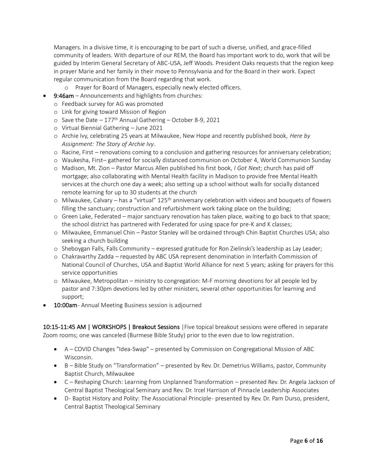Managers. In a divisive time, it is encouraging to be part of such a diverse, unified, and grace-filled community of leaders. With departure of our REM, the Board has important work to do, work that will be guided by Interim General Secretary of ABC-USA, Jeff Woods. President Oaks requests that the region keep in prayer Marie and her family in their move to Pennsylvania and for the Board in their work. Expect regular communication from the Board regarding that work.

- o Prayer for Board of Managers, especially newly elected officers.
- 9:46am Announcements and highlights from churches:
	- o Feedback survey for AG was promoted
	- o Link for giving toward Mission of Region
	- $\circ$  Save the Date 177<sup>th</sup> Annual Gathering October 8-9, 2021
	- o Virtual Biennial Gathering June 2021
	- o Archie Ivy, celebrating 25 years at Milwaukee, New Hope and recently published book, *Here by Assignment: The Story of Archie Ivy*.
	- o Racine, First renovations coming to a conclusion and gathering resources for anniversary celebration;
	- o Waukesha, First– gathered for socially distanced communion on October 4, World Communion Sunday
	- o Madison, Mt. Zion Pastor Marcus Allen published his first book, *I Got Next*; church has paid off mortgage; also collaborating with Mental Health facility in Madison to provide free Mental Health services at the church one day a week; also setting up a school without walls for socially distanced remote learning for up to 30 students at the church
	- $\circ$  Milwaukee, Calvary has a "virtual" 125<sup>th</sup> anniversary celebration with videos and bouquets of flowers filling the sanctuary; construction and refurbishment work taking place on the building;
	- o Green Lake, Federated major sanctuary renovation has taken place, waiting to go back to that space; the school district has partnered with Federated for using space for pre-K and K classes;
	- o Milwaukee, Emmanuel Chin Pastor Stanley will be ordained through Chin Baptist Churches USA; also seeking a church building
	- o Sheboygan Falls, Falls Community expressed gratitude for Ron Zielinski's leadership as Lay Leader;
	- o Chakravarthy Zadda requested by ABC USA represent denomination in Interfaith Commission of National Council of Churches, USA and Baptist World Alliance for next 5 years; asking for prayers for this service opportunities
	- o Milwaukee, Metropolitan ministry to congregation: M-F morning devotions for all people led by pastor and 7:30pm devotions led by other ministers, several other opportunities for learning and support;
- 10:00am Annual Meeting Business session is adjourned

10:15-11:45 AM | WORKSHOPS | Breakout Sessions |Five topical breakout sessions were offered in separate Zoom rooms; one was canceled (Burmese Bible Study) prior to the even due to low registration.

- A COVID Changes "Idea-Swap" presented by Commission on Congregational Mission of ABC Wisconsin.
- B Bible Study on "Transformation" presented by Rev. Dr. Demetrius Williams, pastor, Community Baptist Church, Milwaukee
- C Reshaping Church: Learning from Unplanned Transformation presented Rev. Dr. Angela Jackson of Central Baptist Theological Seminary and Rev. Dr. Ircel Harrison of Pinnacle Leadership Associates
- D- Baptist History and Polity: The Associational Principle- presented by Rev. Dr. Pam Durso, president, Central Baptist Theological Seminary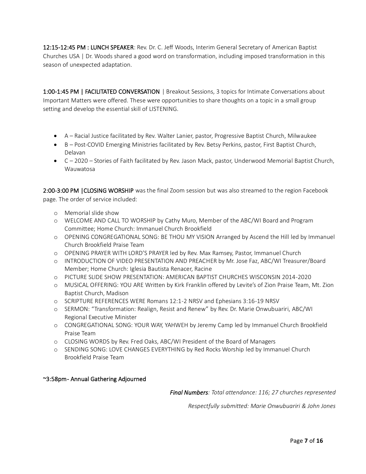12:15-12:45 PM : LUNCH SPEAKER: Rev. Dr. C. Jeff Woods, Interim General Secretary of American Baptist Churches USA | Dr. Woods shared a good word on transformation, including imposed transformation in this season of unexpected adaptation.

1:00-1:45 PM | FACILITATED CONVERSATION | Breakout Sessions, 3 topics for Intimate Conversations about Important Matters were offered. These were opportunities to share thoughts on a topic in a small group setting and develop the essential skill of LISTENING.

- A Racial Justice facilitated by Rev. Walter Lanier, pastor, Progressive Baptist Church, Milwaukee
- B Post-COVID Emerging Ministries facilitated by Rev. Betsy Perkins, pastor, First Baptist Church, Delavan
- C 2020 Stories of Faith facilitated by Rev. Jason Mack, pastor, Underwood Memorial Baptist Church, Wauwatosa

2:00-3:00 PM |CLOSING WORSHIP was the final Zoom session but was also streamed to the region Facebook page. The order of service included:

- o Memorial slide show
- o WELCOME AND CALL TO WORSHIP by Cathy Muro, Member of the ABC/WI Board and Program Committee; Home Church: Immanuel Church Brookfield
- o OPENING CONGREGATIONAL SONG: BE THOU MY VISION Arranged by Ascend the Hill led by Immanuel Church Brookfield Praise Team
- o OPENING PRAYER WITH LORD'S PRAYER led by Rev. Max Ramsey, Pastor, Immanuel Church
- o INTRODUCTION OF VIDEO PRESENTATION AND PREACHER by Mr. Jose Faz, ABC/WI Treasurer/Board Member; Home Church: Iglesia Bautista Renacer, Racine
- o PICTURE SLIDE SHOW PRESENTATION: AMERICAN BAPTIST CHURCHES WISCONSIN 2014-2020
- o MUSICAL OFFERING: YOU ARE Written by Kirk Franklin offered by Levite's of Zion Praise Team, Mt. Zion Baptist Church, Madison
- o SCRIPTURE REFERENCES WERE Romans 12:1-2 NRSV and Ephesians 3:16-19 NRSV
- o SERMON: "Transformation: Realign, Resist and Renew" by Rev. Dr. Marie Onwubuariri, ABC/WI Regional Executive Minister
- o CONGREGATIONAL SONG: YOUR WAY, YAHWEH by Jeremy Camp led by Immanuel Church Brookfield Praise Team
- o CLOSING WORDS by Rev. Fred Oaks, ABC/WI President of the Board of Managers
- o SENDING SONG: LOVE CHANGES EVERYTHING by Red Rocks Worship led by Immanuel Church Brookfield Praise Team

#### ~3:58pm - Annual Gathering Adjourned

*Final Numbers: Total attendance: 116; 27 churches represented*

*Respectfully submitted: Marie Onwubuariri & John Jones*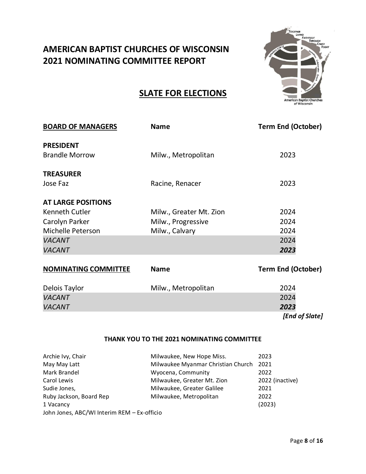# **AMERICAN BAPTIST CHURCHES OF WISCONSIN 2021 NOMINATING COMMITTEE REPORT**



# **SLATE FOR ELECTIONS**

| <b>BOARD OF MANAGERS</b>    | <b>Name</b>             | <b>Term End (October)</b> |
|-----------------------------|-------------------------|---------------------------|
| <b>PRESIDENT</b>            |                         |                           |
| <b>Brandle Morrow</b>       | Milw., Metropolitan     | 2023                      |
| <b>TREASURER</b>            |                         |                           |
| Jose Faz                    | Racine, Renacer         | 2023                      |
| <b>AT LARGE POSITIONS</b>   |                         |                           |
| Kenneth Cutler              | Milw., Greater Mt. Zion | 2024                      |
| Carolyn Parker              | Milw., Progressive      | 2024                      |
| <b>Michelle Peterson</b>    | Milw., Calvary          | 2024                      |
| <b>VACANT</b>               |                         | 2024                      |
| <b>VACANT</b>               |                         | 2023                      |
| <b>NOMINATING COMMITTEE</b> | <b>Name</b>             | <b>Term End (October)</b> |
| Delois Taylor               | Milw., Metropolitan     | 2024                      |
| <b>VACANT</b>               |                         | 2024                      |

#### **THANK YOU TO THE 2021 NOMINATING COMMITTEE**

| Archie Ivy, Chair                           | Milwaukee, New Hope Miss.          | 2023            |
|---------------------------------------------|------------------------------------|-----------------|
| May May Latt                                | Milwaukee Myanmar Christian Church | 2021            |
| Mark Brandel                                | Wyocena, Community                 | 2022            |
| Carol Lewis                                 | Milwaukee, Greater Mt. Zion        | 2022 (inactive) |
| Sudie Jones,                                | Milwaukee, Greater Galilee         | 2021            |
| Ruby Jackson, Board Rep                     | Milwaukee, Metropolitan            | 2022            |
| 1 Vacancy                                   |                                    | (2023)          |
| John Jones, ABC/WI Interim REM - Ex-officio |                                    |                 |

*VACANT 2023*

*[End of Slate]*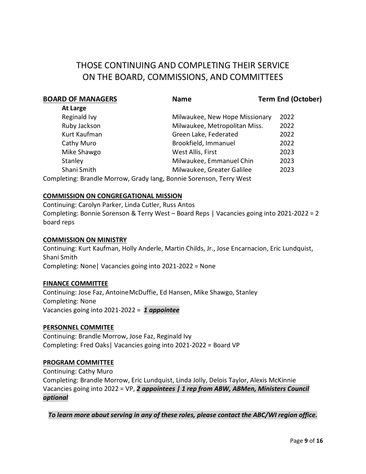# THOSE CONTINUING AND COMPLETING THEIR SERVICE ON THE BOARD, COMMISSIONS, AND COMMITTEES

| <b>BOARD OF MANAGERS</b> | <b>Name</b>                                                     | <b>Term End (October)</b> |
|--------------------------|-----------------------------------------------------------------|---------------------------|
| At Large                 |                                                                 |                           |
| Reginald Ivy             | Milwaukee, New Hope Missionary                                  | 2022                      |
| Ruby Jackson             | Milwaukee, Metropolitan Miss.                                   | 2022                      |
| Kurt Kaufman             | Green Lake, Federated                                           | 2022                      |
| Cathy Muro               | Brookfield, Immanuel                                            | 2022                      |
| Mike Shawgo              | West Allis, First                                               | 2023                      |
| Stanley                  | Milwaukee, Emmanuel Chin                                        | 2023                      |
| Shani Smith              | Milwaukee, Greater Galilee                                      | 2023                      |
|                          | Completing: Drandle Merrous Cradulang Dennie Coronson TornsMest |                           |

Completing: Brandle Morrow, Grady Iang, Bonnie Sorenson, Terry West

#### **COMMISSION ON CONGREGATIONAL MISSION**

Continuing: Carolyn Parker, Linda Cutler, Russ Antos Completing: Bonnie Sorenson & Terry West – Board Reps | Vacancies going into 2021-2022 = 2 board reps

#### **COMMISSION ON MINISTRY**

Continuing: Kurt Kaufman, Holly Anderle, Martin Childs, Jr., Jose Encarnacion, Eric Lundquist, Shani Smith Completing: None| Vacancies going into 2021-2022 = None

#### **FINANCE COMMITTEE**

Continuing: Jose Faz, AntoineMcDuffie, Ed Hansen, Mike Shawgo, Stanley Completing: None Vacancies going into 2021-2022 = *1 appointee*

#### **PERSONNEL COMMITEE**

Continuing: Brandle Morrow, Jose Faz, Reginald Ivy Completing: Fred Oaks| Vacancies going into 2021-2022 = Board VP

#### **PROGRAM COMMITTEE**

Continuing: Cathy Muro Completing: Brandle Morrow, Eric Lundquist, Linda Jolly, Delois Taylor, Alexis McKinnie Vacancies going into 2022 = VP, *2 appointees | 1 rep from ABW, ABMen, Ministers Council optional*

*To learn more about serving in any of these roles, please contact the ABC/WI region office.*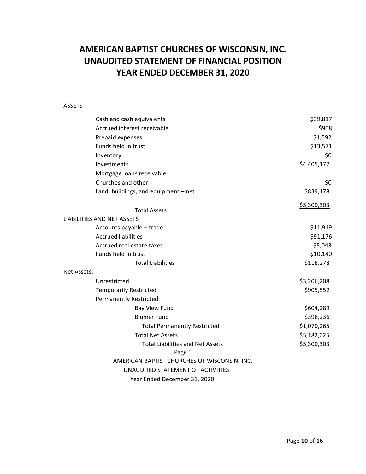# **AMERICAN BAPTIST CHURCHES OF WISCONSIN, INC. UNAUDITED STATEMENT OF FINANCIAL POSITION YEAR ENDED DECEMBER 31, 2020**

#### ASSETS

| Cash and cash equivalents                              | \$39,817    |
|--------------------------------------------------------|-------------|
| Accrued interest receivable                            | \$908       |
| Prepaid expenses                                       | \$1,592     |
| Funds held in trust                                    | \$13,571    |
| Inventory                                              | \$0         |
| Investments                                            | \$4,405,177 |
| Mortgage loans receivable:                             |             |
| Churches and other                                     | \$0         |
| Land, buildings, and equipment - net                   | \$839,178   |
|                                                        | \$5,300,303 |
| <b>Total Assets</b><br>LIABILITIES AND NET ASSETS      |             |
| Accounts payable - trade                               | \$11,919    |
| <b>Accrued liabilities</b>                             | \$91,176    |
| Accrued real estate taxes                              | \$5,043     |
| Funds held in trust                                    | \$10,140    |
| <b>Total Liabilities</b>                               | \$118,278   |
| Net Assets:                                            |             |
| Unrestricted                                           | \$3,206,208 |
| <b>Temporarily Restricted</b>                          | \$905,552   |
| Permanently Restricted:                                |             |
| Bay View Fund                                          | \$604,289   |
| <b>Blumer Fund</b>                                     | \$398,236   |
| <b>Total Permanently Restricted</b>                    | \$1,070,265 |
| <b>Total Net Assets</b>                                | \$5,182,025 |
| <b>Total Liabilities and Net Assets</b>                | \$5,300,303 |
| Page 1<br>AMERICAN BAPTIST CHURCHES OF WISCONSIN, INC. |             |
| UNAUDITED STATEMENT OF ACTIVITIES                      |             |
| Year Ended December 31, 2020                           |             |
|                                                        |             |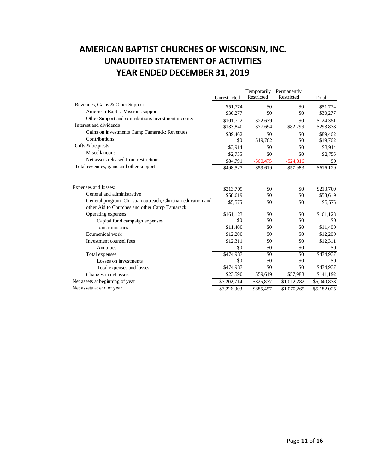# **AMERICAN BAPTIST CHURCHES OF WISCONSIN, INC. UNAUDITED STATEMENT OF ACTIVITIES YEAR ENDED DECEMBER 31, 2019**

|                                                                                                               | Unrestricted | Temporarily<br>Restricted | Permanently<br>Restricted | Total       |
|---------------------------------------------------------------------------------------------------------------|--------------|---------------------------|---------------------------|-------------|
| Revenues, Gains & Other Support:                                                                              | \$51,774     | \$0                       | \$0                       | \$51,774    |
| American Baptist Missions support                                                                             | \$30,277     | \$0                       | \$0                       | \$30,277    |
| Other Support and contributions Investment income:                                                            | \$101,712    | \$22,639                  | \$0                       | \$124,351   |
| Interest and dividends                                                                                        | \$133,840    | \$77,694                  | \$82,299                  | \$293,833   |
| Gains on investments Camp Tamarack: Revenues                                                                  | \$89,462     | \$0                       | \$0                       | \$89,462    |
| Contributions                                                                                                 | \$0          | \$19,762                  | \$0                       | \$19,762    |
| Gifts & bequests                                                                                              | \$3,914      | \$0                       | \$0                       | \$3,914     |
| Miscellaneous                                                                                                 | \$2,755      | \$0                       | \$0                       | \$2,755     |
| Net assets released from restrictions                                                                         | \$84,791     | $-$ \$60,475              | $-$ \$24,316              | \$0         |
| Total revenues, gains and other support                                                                       | \$498,527    | \$59,619                  | \$57,983                  | \$616,129   |
| Expenses and losses:                                                                                          | \$213.709    | \$0                       | \$0                       | \$213,709   |
| General and administrative                                                                                    | \$58,619     | \$0                       | \$0                       | \$58,619    |
| General program-Christian outreach, Christian education and<br>other Aid to Churches and other Camp Tamarack: | \$5,575      | \$0                       | \$0                       | \$5,575     |
| Operating expenses                                                                                            | \$161,123    | \$0                       | \$0                       | \$161,123   |
| Capital fund campaign expenses                                                                                | \$0          | \$0                       | \$0                       | \$0         |
| Joint ministries                                                                                              | \$11,400     | \$0                       | \$0                       | \$11,400    |
| Ecumenical work                                                                                               | \$12,200     | \$0                       | \$0                       | \$12,200    |
| Investment counsel fees                                                                                       | \$12,311     | \$0                       | \$0                       | \$12,311    |
| Annuities                                                                                                     | \$0          | \$0                       | \$0                       | \$0         |
| Total expenses                                                                                                | \$474,937    | \$0                       | \$0                       | \$474,937   |
| Losses on investments                                                                                         | \$0          | \$0                       | \$0                       | \$0         |
| Total expenses and losses                                                                                     | \$474,937    | \$0                       | \$0                       | \$474,937   |
| Changes in net assets                                                                                         | \$23,590     | \$59,619                  | \$57,983                  | \$141,192   |
| Net assets at beginning of year                                                                               | \$3,202,714  | \$825,837                 | \$1,012,282               | \$5,040,833 |
| Net assets at end of year                                                                                     | \$3,226,303  | \$885,457                 | \$1,070,265               | \$5,182,025 |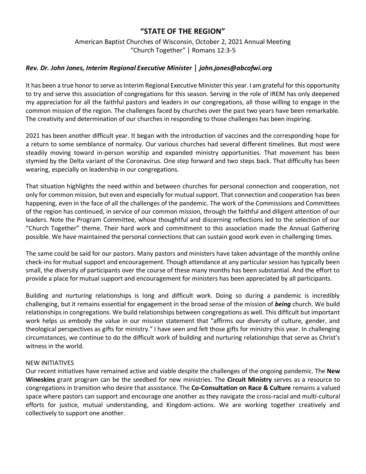## **"STATE OF THE REGION"**

American Baptist Churches of Wisconsin, October 2, 2021 Annual Meeting "Church Together" | Romans 12:3-5

## *Rev. Dr. John Jones, Interim Regional Executive Ministerjohn.jones@abcofwi.org*

It has been a true honor to serve as Interim Regional Executive Minister this year. I am grateful for this opportunity to try and serve this association of congregations for this season. Serving in the role of IREM has only deepened my appreciation for all the faithful pastors and leaders in our congregations, all those willing to engage in the common mission of the region. The challenges faced by churches over the past two years have been remarkable. The creativity and determination of our churches in responding to those challenges has been inspiring.

2021 has been another difficult year. It began with the introduction of vaccines and the corresponding hope for a return to some semblance of normalcy. Our various churches had several different timelines. But most were steadily moving toward in-person worship and expanded ministry opportunities. That movement has been stymied by the Delta variant of the Coronavirus. One step forward and two steps back. That difficulty has been wearing, especially on leadership in our congregations.

That situation highlights the need within and between churches for personal connection and cooperation, not only for common mission, but even and especially for mutual support. That connection and cooperation has been happening, even in the face of all the challenges of the pandemic. The work of the Commissions and Committees of the region has continued, in service of our common mission, through the faithful and diligent attention of our leaders. Note the Program Committee, whose thoughtful and discerning reflections led to the selection of our "Church Together" theme. Their hard work and commitment to this association made the Annual Gathering possible. We have maintained the personal connections that can sustain good work even in challenging times.

The same could be said for our pastors. Many pastors and ministers have taken advantage of the monthly online check-ins for mutual support and encouragement. Though attendance at any particular session has typically been small, the diversity of participants over the course of these many months has been substantial. And the effort to provide a place for mutual support and encouragement for ministers has been appreciated by all participants.

Building and nurturing relationships is long and difficult work. Doing so during a pandemic is incredibly challenging, but it remains essential for engagement in the broad sense of the mission of *being* church. We build relationships in congregations. We build relationships between congregations as well. This difficult but important work helps us embody the value in our mission statement that "affirms our diversity of culture, gender, and theological perspectives as gifts for ministry." I have seen and felt those gifts for ministry this year. In challenging circumstances, we continue to do the difficult work of building and nurturing relationships that serve as Christ's witness in the world.

#### NEW INITIATIVES

Our recent initiatives have remained active and viable despite the challenges of the ongoing pandemic. The **New Wineskins** grant program can be the seedbed for new ministries. The **Circuit Ministry** serves as a resource to congregations in transition who desire that assistance. The **Co-Consultation on Race & Culture** remains a valued space where pastors can support and encourage one another as they navigate the cross-racial and multi-cultural efforts for justice, mutual understanding, and Kingdom-actions. We are working together creatively and collectively to support one another.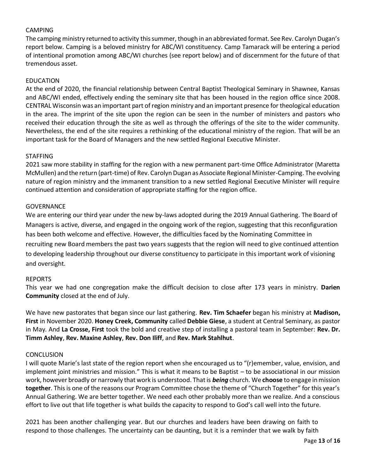### CAMPING

The camping ministry returned to activity this summer, though in an abbreviated format. See Rev. Carolyn Dugan's report below. Camping is a beloved ministry for ABC/WI constituency. Camp Tamarack will be entering a period of intentional promotion among ABC/WI churches (see report below) and of discernment for the future of that tremendous asset.

#### EDUCATION

At the end of 2020, the financial relationship between Central Baptist Theological Seminary in Shawnee, Kansas and ABC/WI ended, effectively ending the seminary site that has been housed in the region office since 2008. CENTRAL Wisconsin was an important part of region ministry and an important presence for theological education in the area. The imprint of the site upon the region can be seen in the number of ministers and pastors who received their education through the site as well as through the offerings of the site to the wider community. Nevertheless, the end of the site requires a rethinking of the educational ministry of the region. That will be an important task for the Board of Managers and the new settled Regional Executive Minister.

#### STAFFING

2021 saw more stability in staffing for the region with a new permanent part-time Office Administrator (Maretta McMullen) and the return (part-time) of Rev. Carolyn Dugan as Associate Regional Minister-Camping. The evolving nature of region ministry and the immanent transition to a new settled Regional Executive Minister will require continued attention and consideration of appropriate staffing for the region office.

#### **GOVERNANCE**

We are entering our third year under the new by-laws adopted during the 2019 Annual Gathering. The Board of Managers is active, diverse, and engaged in the ongoing work of the region, suggesting that this reconfiguration has been both welcome and effective. However, the difficulties faced by the Nominating Committee in recruiting new Board members the past two years suggests that the region will need to give continued attention to developing leadership throughout our diverse constituency to participate in this important work of visioning and oversight.

#### REPORTS

This year we had one congregation make the difficult decision to close after 173 years in ministry. **Darien Community** closed at the end of July.

We have new pastorates that began since our last gathering. **Rev. Tim Schaefer** began his ministry at **Madison, First** in November 2020. **Honey Creek, Community** called **Debbie Giese**, a student at Central Seminary, as pastor in May. And **La Crosse, First** took the bold and creative step of installing a pastoral team in September: **Rev. Dr. Timm Ashley**, **Rev. Maxine Ashley**, **Rev. Don Iliff**, and **Rev. Mark Stahlhut**.

#### **CONCLUSION**

I will quote Marie's last state of the region report when she encouraged us to "(r)emember, value, envision, and implement joint ministries and mission." This is what it means to be Baptist – to be associational in our mission work, however broadly or narrowly that work is understood. That is *being* church. We **choose** to engage in mission together. This is one of the reasons our Program Committee chose the theme of "Church Together" for this year's Annual Gathering. We are better together. We need each other probably more than we realize. And a conscious effort to live out that life together is what builds the capacity to respond to God's call well into the future.

2021 has been another challenging year. But our churches and leaders have been drawing on faith to respond to those challenges. The uncertainty can be daunting, but it is a reminder that we walk by faith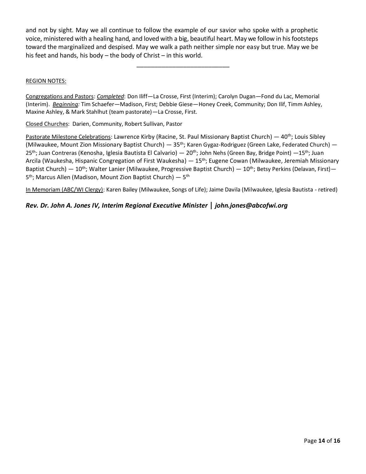and not by sight. May we all continue to follow the example of our savior who spoke with a prophetic voice, ministered with a healing hand, and loved with a big, beautiful heart. May we follow in his footsteps toward the marginalized and despised. May we walk a path neither simple nor easy but true. May we be his feet and hands, his body – the body of Christ – in this world.

\_\_\_\_\_\_\_\_\_\_\_\_\_\_\_\_\_\_\_\_\_\_\_\_\_\_

#### REGION NOTES:

Congregations and Pastors: *Completed*: Don Iliff—La Crosse, First (Interim); Carolyn Dugan—Fond du Lac, Memorial (Interim). *Beginning:* Tim Schaefer—Madison, First; Debbie Giese—Honey Creek, Community; Don Ilif, Timm Ashley, Maxine Ashley, & Mark Stahlhut (team pastorate)—La Crosse, First.

Closed Churches: Darien, Community, Robert Sullivan, Pastor

Pastorate Milestone Celebrations: Lawrence Kirby (Racine, St. Paul Missionary Baptist Church) — 40<sup>th</sup>; Louis Sibley (Milwaukee, Mount Zion Missionary Baptist Church) — 35<sup>th</sup>; Karen Gygaz-Rodriguez (Green Lake, Federated Church) — 25<sup>th</sup>; Juan Contreras (Kenosha, Iglesia Bautista El Calvario) — 20<sup>th</sup>; John Nehs (Green Bay, Bridge Point) —15<sup>th</sup>; Juan Arcila (Waukesha, Hispanic Congregation of First Waukesha) — 15<sup>th</sup>; Eugene Cowan (Milwaukee, Jeremiah Missionary Baptist Church) —  $10^{th}$ ; Walter Lanier (Milwaukee, Progressive Baptist Church) —  $10^{th}$ ; Betsy Perkins (Delavan, First) — 5<sup>th</sup>; Marcus Allen (Madison, Mount Zion Baptist Church) — 5<sup>th</sup>

In Memoriam (ABC/WI Clergy): Karen Bailey (Milwaukee, Songs of Life); Jaime Davila (Milwaukee, Iglesia Bautista - retired)

#### *Rev. Dr. John A. Jones IV, Interim Regional Executive Ministerjohn.jones@abcofwi.org*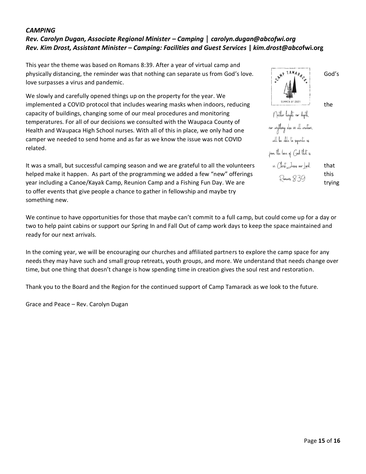## *CAMPING Rev. Carolyn Dugan, Associate Regional Minister – Campingcarolyn.dugan@abcofwi.org Rev. Kim Drost, Assistant Minister – Camping: Facilities and Guest Services* **|** *kim.drost@abco***fwi.org**

This year the theme was based on Romans 8:39. After a year of virtual camp and physically distancing, the reminder was that nothing can separate us from God's love.  $\mathbb{R}^{S}$  in  $\mathbb{R}^{A}$ love surpasses a virus and pandemic.

We slowly and carefully opened things up on the property for the year. We implemented a COVID protocol that includes wearing masks when indoors, reducing the the capacity of buildings, changing some of our meal procedures and monitoring temperatures. For all of our decisions we consulted with the Waupaca County of Health and Waupaca High School nurses. With all of this in place, we only had one camper we needed to send home and as far as we know the issue was not COVID related.

It was a small, but successful camping season and we are grateful to all the volunteers that helped make it happen. As part of the programming we added a few "new" offerings  $\mathbb{R}$ <sub>emalk</sub> 8:30 this year including a Canoe/Kayak Camp, Reunion Camp and a Fishing Fun Day. We are trying trying to offer events that give people a chance to gather in fellowship and maybe try something new.

We continue to have opportunities for those that maybe can't commit to a full camp, but could come up for a day or two to help paint cabins or support our Spring In and Fall Out of camp work days to keep the space maintained and ready for our next arrivals.

In the coming year, we will be encouraging our churches and affiliated partners to explore the camp space for any needs they may have such and small group retreats, youth groups, and more. We understand that needs change over time, but one thing that doesn't change is how spending time in creation gives the soul rest and restoration.

Thank you to the Board and the Region for the continued support of Camp Tamarack as we look to the future.

Grace and Peace – Rev. Carolyn Dugan

Neither height nor depth. nor anything else in all creation. will be able to separate us from the love of God that is